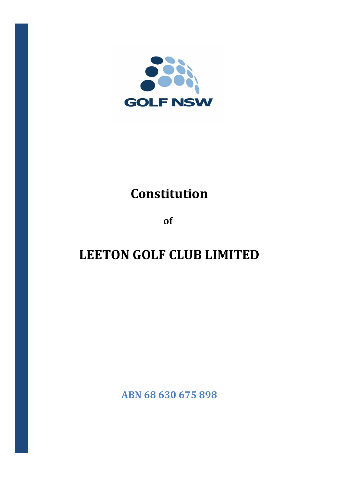

## **Constitution**

**of**

# **LEETON GOLF CLUB LIMITED**

**ABN 68 630 675 898**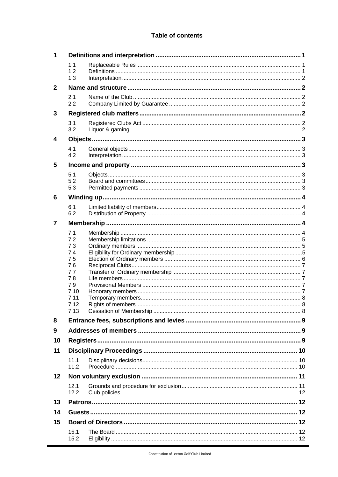## **Table of contents**

| 1              |                                                             |  |  |  |  |
|----------------|-------------------------------------------------------------|--|--|--|--|
|                | 1.1<br>1.2<br>1.3                                           |  |  |  |  |
| $\overline{2}$ |                                                             |  |  |  |  |
|                | 2.1<br>2.2                                                  |  |  |  |  |
| 3              |                                                             |  |  |  |  |
|                | 3.1<br>3.2                                                  |  |  |  |  |
| 4              |                                                             |  |  |  |  |
|                | 4.1<br>4.2                                                  |  |  |  |  |
| 5              |                                                             |  |  |  |  |
|                | 5.1<br>5.2<br>5.3                                           |  |  |  |  |
| 6              |                                                             |  |  |  |  |
|                | 6.1<br>6.2                                                  |  |  |  |  |
| 7              |                                                             |  |  |  |  |
|                | 7.1<br>7.2<br>7.3<br>7.4<br>7.5<br>7.6<br>7.7<br>7.8<br>7.9 |  |  |  |  |
|                | 7.10                                                        |  |  |  |  |
|                | 7.11<br>7.12<br>7.13                                        |  |  |  |  |
| 8              |                                                             |  |  |  |  |
| 9              |                                                             |  |  |  |  |
| 10             |                                                             |  |  |  |  |
| 11             |                                                             |  |  |  |  |
|                | 11.1<br>11.2                                                |  |  |  |  |
| 12             |                                                             |  |  |  |  |
|                | 12.1<br>12.2                                                |  |  |  |  |
| 13             |                                                             |  |  |  |  |
| 14             |                                                             |  |  |  |  |
| 15             |                                                             |  |  |  |  |
|                | 15.1<br>15.2                                                |  |  |  |  |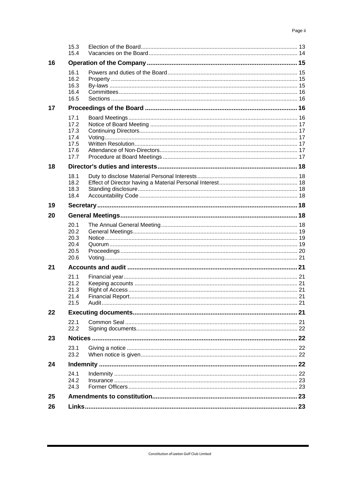|    | 15.3<br>15.4                                         |  |  |  |
|----|------------------------------------------------------|--|--|--|
| 16 |                                                      |  |  |  |
|    | 16.1<br>16.2<br>16.3<br>16.4<br>16.5                 |  |  |  |
| 17 |                                                      |  |  |  |
|    | 17.1<br>17.2<br>17.3<br>17.4<br>17.5<br>17.6<br>17.7 |  |  |  |
| 18 |                                                      |  |  |  |
|    | 18.1<br>18.2<br>18.3<br>18.4                         |  |  |  |
| 19 |                                                      |  |  |  |
| 20 |                                                      |  |  |  |
|    | 20.1<br>20.2<br>20.3<br>20.4<br>20.5<br>20.6         |  |  |  |
| 21 |                                                      |  |  |  |
|    | 21.1<br>21.2<br>21.3<br>21.4<br>21.5                 |  |  |  |
| 22 |                                                      |  |  |  |
|    | 22.1<br>22.2                                         |  |  |  |
| 23 |                                                      |  |  |  |
|    | 23.1<br>23.2                                         |  |  |  |
| 24 |                                                      |  |  |  |
|    | 24.1<br>24.2<br>24.3                                 |  |  |  |
| 25 |                                                      |  |  |  |
| 26 |                                                      |  |  |  |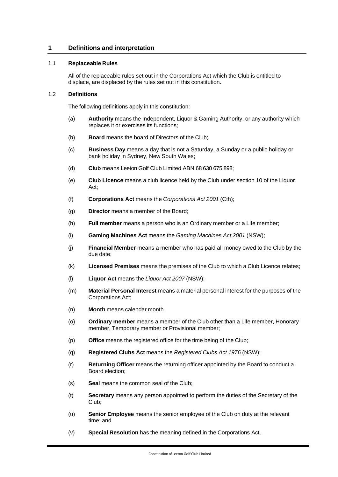## <span id="page-3-0"></span>**1 Definitions and interpretation**

## <span id="page-3-1"></span>1.1 **Replaceable Rules**

All of the replaceable rules set out in the Corporations Act which the Club is entitled to displace, are displaced by the rules set out in this constitution.

## <span id="page-3-2"></span>1.2 **Definitions**

The following definitions apply in this constitution:

- (a) **Authority** means the Independent, Liquor & Gaming Authority, or any authority which replaces it or exercises its functions;
- (b) **Board** means the board of Directors of the Club;
- (c) **Business Day** means a day that is not a Saturday, a Sunday or a public holiday or bank holiday in Sydney, New South Wales;
- (d) **Club** means Leeton Golf Club Limited ABN 68 630 675 898;
- (e) **Club Licence** means a club licence held by the Club under section 10 of the Liquor Act;
- (f) **Corporations Act** means the *Corporations Act 2001* (Cth);
- (g) **Director** means a member of the Board;
- (h) **Full member** means a person who is an Ordinary member or a Life member;
- (i) **Gaming Machines Act** means the *Gaming Machines Act 2001* (NSW);
- (j) **Financial Member** means a member who has paid all money owed to the Club by the due date;
- (k) **Licensed Premises** means the premises of the Club to which a Club Licence relates;
- (l) **Liquor Act** means the *Liquor Act 2007* (NSW);
- (m) **Material Personal Interest** means a material personal interest for the purposes of the Corporations Act;
- (n) **Month** means calendar month
- (o) **Ordinary member** means a member of the Club other than a Life member, Honorary member, Temporary member or Provisional member;
- (p) **Office** means the registered office for the time being of the Club;
- (q) **Registered Clubs Act** means the *Registered Clubs Act 1976* (NSW);
- (r) **Returning Officer** means the returning officer appointed by the Board to conduct a Board election;
- (s) **Seal** means the common seal of the Club;
- (t) **Secretary** means any person appointed to perform the duties of the Secretary of the Club;
- (u) **Senior Employee** means the senior employee of the Club on duty at the relevant time; and
- (v) **Special Resolution** has the meaning defined in the Corporations Act.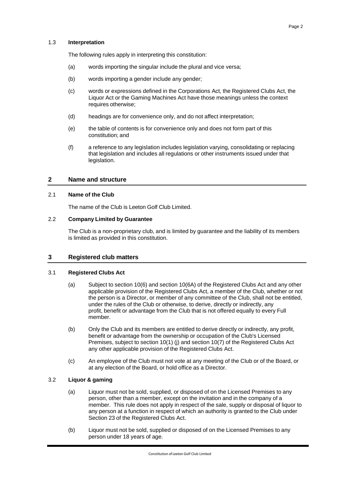## <span id="page-4-0"></span>1.3 **Interpretation**

The following rules apply in interpreting this constitution:

- (a) words importing the singular include the plural and vice versa;
- (b) words importing a gender include any gender;
- (c) words or expressions defined in the Corporations Act, the Registered Clubs Act, the Liquor Act or the Gaming Machines Act have those meanings unless the context requires otherwise:
- (d) headings are for convenience only, and do not affect interpretation;
- (e) the table of contents is for convenience only and does not form part of this constitution; and
- (f) a reference to any legislation includes legislation varying, consolidating or replacing that legislation and includes all regulations or other instruments issued under that legislation.

## <span id="page-4-1"></span>**2 Name and structure**

#### <span id="page-4-2"></span>2.1 **Name of the Club**

The name of the Club is Leeton Golf Club Limited.

## <span id="page-4-3"></span>2.2 **Company Limited by Guarantee**

The Club is a non-proprietary club, and is limited by guarantee and the liability of its members is limited as provided in this constitution.

## <span id="page-4-4"></span>**3 Registered club matters**

## <span id="page-4-5"></span>3.1 **Registered Clubs Act**

- (a) Subject to section 10(6) and section 10(6A) of the Registered Clubs Act and any other applicable provision of the Registered Clubs Act, a member of the Club, whether or not the person is a Director, or member of any committee of the Club, shall not be entitled, under the rules of the Club or otherwise, to derive, directly or indirectly, any profit, benefit or advantage from the Club that is not offered equally to every Full member.
- (b) Only the Club and its members are entitled to derive directly or indirectly, any profit, benefit or advantage from the ownership or occupation of the Club's Licensed Premises, subject to section 10(1) (j) and section 10(7) of the Registered Clubs Act any other applicable provision of the Registered Clubs Act.
- (c) An employee of the Club must not vote at any meeting of the Club or of the Board, or at any election of the Board, or hold office as a Director.

## <span id="page-4-6"></span>3.2 **Liquor & gaming**

- (a) Liquor must not be sold, supplied, or disposed of on the Licensed Premises to any person, other than a member, except on the invitation and in the company of a member. This rule does not apply in respect of the sale, supply or disposal of liquor to any person at a function in respect of which an authority is granted to the Club under Section 23 of the Registered Clubs Act.
- (b) Liquor must not be sold, supplied or disposed of on the Licensed Premises to any person under 18 years of age.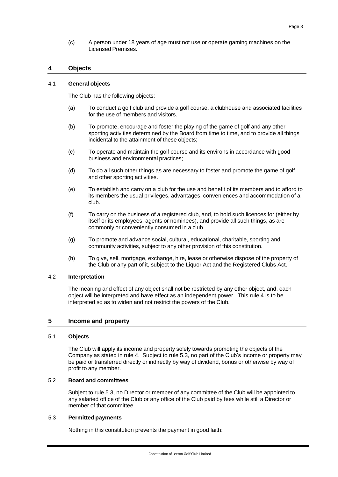(c) A person under 18 years of age must not use or operate gaming machines on the Licensed Premises.

## <span id="page-5-0"></span>**4 Objects**

#### <span id="page-5-1"></span>4.1 **General objects**

The Club has the following objects:

- (a) To conduct a golf club and provide a golf course, a clubhouse and associated facilities for the use of members and visitors.
- (b) To promote, encourage and foster the playing of the game of golf and any other sporting activities determined by the Board from time to time, and to provide all things incidental to the attainment of these objects;
- (c) To operate and maintain the golf course and its environs in accordance with good business and environmental practices;
- (d) To do all such other things as are necessary to foster and promote the game of golf and other sporting activities.
- (e) To establish and carry on a club for the use and benefit of its members and to afford to its members the usual privileges, advantages, conveniences and accommodation of a club.
- (f) To carry on the business of a registered club, and, to hold such licences for (either by itself or its employees, agents or nominees), and provide all such things, as are commonly or conveniently consumed in a club.
- (g) To promote and advance social, cultural, educational, charitable, sporting and community activities, subject to any other provision of this constitution.
- (h) To give, sell, mortgage, exchange, hire, lease or otherwise dispose of the property of the Club or any part of it, subject to the Liquor Act and the Registered Clubs Act.

#### <span id="page-5-2"></span>4.2 **Interpretation**

The meaning and effect of any object shall not be restricted by any other object, and, each object will be interpreted and have effect as an independent power. This rule [4](#page-5-0) is to be interpreted so as to widen and not restrict the powers of the Club.

## <span id="page-5-3"></span>**5 Income and property**

#### <span id="page-5-4"></span>5.1 **Objects**

The Club will apply its income and property solely towards promoting the objects of the Company as stated in rule [4.](#page-5-0) Subject to rule [5.3,](#page-5-6) no part of the Club's income or property may be paid or transferred directly or indirectly by way of dividend, bonus or otherwise by way of profit to any member.

## <span id="page-5-5"></span>5.2 **Board and committees**

Subject to rule [5.3,](#page-5-6) no Director or member of any committee of the Club will be appointed to any salaried office of the Club or any office of the Club paid by fees while still a Director or member of that committee.

#### <span id="page-5-6"></span>5.3 **Permitted payments**

Nothing in this constitution prevents the payment in good faith: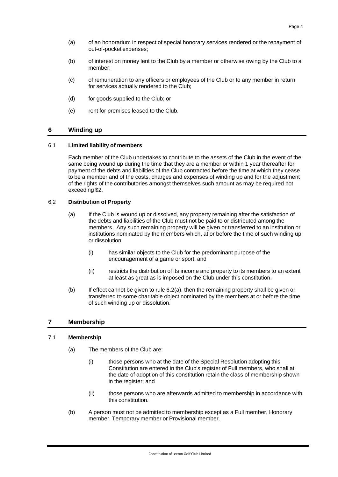- (a) of an honorarium in respect of special honorary services rendered or the repayment of out-of-pocket expenses;
- (b) of interest on money lent to the Club by a member or otherwise owing by the Club to a member;
- (c) of remuneration to any officers or employees of the Club or to any member in return for services actually rendered to the Club;
- (d) for goods supplied to the Club; or
- (e) rent for premises leased to the Club.

## <span id="page-6-0"></span>**6 Winding up**

#### <span id="page-6-1"></span>6.1 **Limited liability of members**

Each member of the Club undertakes to contribute to the assets of the Club in the event of the same being wound up during the time that they are a member or within 1 year thereafter for payment of the debts and liabilities of the Club contracted before the time at which they cease to be a member and of the costs, charges and expenses of winding up and for the adjustment of the rights of the contributories amongst themselves such amount as may be required not exceeding \$2.

## <span id="page-6-5"></span><span id="page-6-2"></span>6.2 **Distribution of Property**

- (a) If the Club is wound up or dissolved, any property remaining after the satisfaction of the debts and liabilities of the Club must not be paid to or distributed among the members. Any such remaining property will be given or transferred to an institution or institutions nominated by the members which, at or before the time of such winding up or dissolution:
	- (i) has similar objects to the Club for the predominant purpose of the encouragement of a game or sport; and
	- (ii) restricts the distribution of its income and property to its members to an extent at least as great as is imposed on the Club under this constitution.
- (b) If effect cannot be given to rule [6.2\(a\),](#page-6-5) then the remaining property shall be given or transferred to some charitable object nominated by the members at or before the time of such winding up or dissolution.

## <span id="page-6-3"></span>**7 Membership**

#### <span id="page-6-4"></span>7.1 **Membership**

- (a) The members of the Club are:
	- (i) those persons who at the date of the Special Resolution adopting this Constitution are entered in the Club's register of Full members, who shall at the date of adoption of this constitution retain the class of membership shown in the register; and
	- (ii) those persons who are afterwards admitted to membership in accordance with this constitution.
- (b) A person must not be admitted to membership except as a Full member, Honorary member, Temporary member or Provisional member.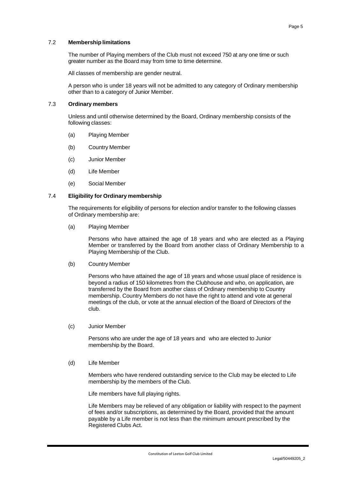<span id="page-7-0"></span>The number of Playing members of the Club must not exceed 750 at any one time or such greater number as the Board may from time to time determine.

All classes of membership are gender neutral.

A person who is under 18 years will not be admitted to any category of Ordinary membership other than to a category of Junior Member.

## <span id="page-7-1"></span>7.3 **Ordinary members**

Unless and until otherwise determined by the Board, Ordinary membership consists of the following classes:

- (a) Playing Member
- (b) Country Member
- (c) Junior Member
- (d) Life Member
- (e) Social Member

## <span id="page-7-2"></span>7.4 **Eligibility for Ordinary membership**

The requirements for eligibility of persons for election and/or transfer to the following classes of Ordinary membership are:

(a) Playing Member

Persons who have attained the age of 18 years and who are elected as a Playing Member or transferred by the Board from another class of Ordinary Membership to a Playing Membership of the Club.

(b) Country Member

Persons who have attained the age of 18 years and whose usual place of residence is beyond a radius of 150 kilometres from the Clubhouse and who, on application, are transferred by the Board from another class of Ordinary membership to Country membership. Country Members do not have the right to attend and vote at general meetings of the club, or vote at the annual election of the Board of Directors of the club.

(c) Junior Member

Persons who are under the age of 18 years and who are elected to Junior membership by the Board.

(d) Life Member

Members who have rendered outstanding service to the Club may be elected to Life membership by the members of the Club.

Life members have full playing rights.

Life Members may be relieved of any obligation or liability with respect to the payment of fees and/or subscriptions, as determined by the Board, provided that the amount payable by a Life member is not less than the minimum amount prescribed by the Registered Clubs Act.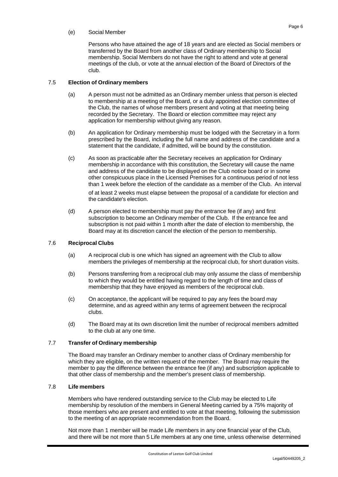## (e) Social Member

Persons who have attained the age of 18 years and are elected as Social members or transferred by the Board from another class of Ordinary membership to Social membership. Social Members do not have the right to attend and vote at general meetings of the club, or vote at the annual election of the Board of Directors of the club.

## <span id="page-8-0"></span>7.5 **Election of Ordinary members**

- (a) A person must not be admitted as an Ordinary member unless that person is elected to membership at a meeting of the Board, or a duly appointed election committee of the Club, the names of whose members present and voting at that meeting being recorded by the Secretary. The Board or election committee may reject any application for membership without giving any reason.
- (b) An application for Ordinary membership must be lodged with the Secretary in a form prescribed by the Board, including the full name and address of the candidate and a statement that the candidate, if admitted, will be bound by the constitution.
- (c) As soon as practicable after the Secretary receives an application for Ordinary membership in accordance with this constitution, the Secretary will cause the name and address of the candidate to be displayed on the Club notice board or in some other conspicuous place in the Licensed Premises for a continuous period of not less than 1 week before the election of the candidate as a member of the Club. An interval

of at least 2 weeks must elapse between the proposal of a candidate for election and the candidate's election.

(d) A person elected to membership must pay the entrance fee (if any) and first subscription to become an Ordinary member of the Club. If the entrance fee and subscription is not paid within 1 month after the date of election to membership, the Board may at its discretion cancel the election of the person to membership.

## <span id="page-8-1"></span>7.6 **Reciprocal Clubs**

- (a) A reciprocal club is one which has signed an agreement with the Club to allow members the privileges of membership at the reciprocal club, for short duration visits.
- (b) Persons transferring from a reciprocal club may only assume the class of membership to which they would be entitled having regard to the length of time and class of membership that they have enjoyed as members of the reciprocal club.
- (c) On acceptance, the applicant will be required to pay any fees the board may determine, and as agreed within any terms of agreement between the reciprocal clubs.
- (d) The Board may at its own discretion limit the number of reciprocal members admitted to the club at any one time.

## <span id="page-8-2"></span>7.7 **Transfer of Ordinary membership**

The Board may transfer an Ordinary member to another class of Ordinary membership for which they are eligible, on the written request of the member. The Board may require the member to pay the difference between the entrance fee (if any) and subscription applicable to that other class of membership and the member's present class of membership.

## <span id="page-8-3"></span>7.8 **Life members**

Members who have rendered outstanding service to the Club may be elected to Life membership by resolution of the members in General Meeting carried by a 75% majority of those members who are present and entitled to vote at that meeting, following the submission to the meeting of an appropriate recommendation from the Board.

Not more than 1 member will be made Life members in any one financial year of the Club, and there will be not more than 5 Life members at any one time, unless otherwise determined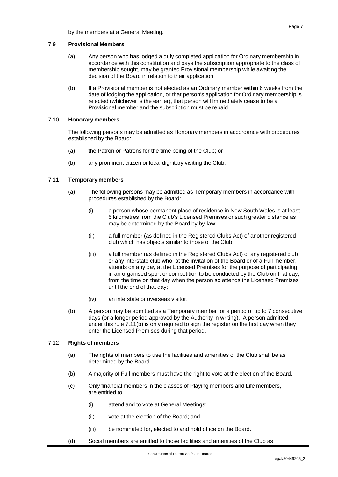by the members at a General Meeting.

## <span id="page-9-0"></span>7.9 **Provisional Members**

- (a) Any person who has lodged a duly completed application for Ordinary membership in accordance with this constitution and pays the subscription appropriate to the class of membership sought, may be granted Provisional membership while awaiting the decision of the Board in relation to their application.
- (b) If a Provisional member is not elected as an Ordinary member within 6 weeks from the date of lodging the application, or that person's application for Ordinary membership is rejected (whichever is the earlier), that person will immediately cease to be a Provisional member and the subscription must be repaid.

## <span id="page-9-1"></span>7.10 **Honorary members**

The following persons may be admitted as Honorary members in accordance with procedures established by the Board:

- (a) the Patron or Patrons for the time being of the Club; or
- (b) any prominent citizen or local dignitary visiting the Club;

## <span id="page-9-2"></span>7.11 **Temporary members**

- (a) The following persons may be admitted as Temporary members in accordance with procedures established by the Board:
	- (i) a person whose permanent place of residence in New South Wales is at least 5 kilometres from the Club's Licensed Premises or such greater distance as may be determined by the Board by by-law;
	- (ii) a full member (as defined in the Registered Clubs Act) of another registered club which has objects similar to those of the Club;
	- (iii) a full member (as defined in the Registered Clubs Act) of any registered club or any interstate club who, at the invitation of the Board or of a Full member, attends on any day at the Licensed Premises for the purpose of participating in an organised sport or competition to be conducted by the Club on that day, from the time on that day when the person so attends the Licensed Premises until the end of that day;
	- (iv) an interstate or overseas visitor.
- <span id="page-9-4"></span>(b) A person may be admitted as a Temporary member for a period of up to 7 consecutive days (or a longer period approved by the Authority in writing). A person admitted under this rule [7.11\(b\)](#page-9-4) is only required to sign the register on the first day when they enter the Licensed Premises during that period.

#### <span id="page-9-3"></span>7.12 **Rights of members**

- (a) The rights of members to use the facilities and amenities of the Club shall be as determined by the Board.
- (b) A majority of Full members must have the right to vote at the election of the Board.
- (c) Only financial members in the classes of Playing members and Life members, are entitled to:
	- (i) attend and to vote at General Meetings;
	- (ii) vote at the election of the Board; and
	- (iii) be nominated for, elected to and hold office on the Board.
- (d) Social members are entitled to those facilities and amenities of the Club as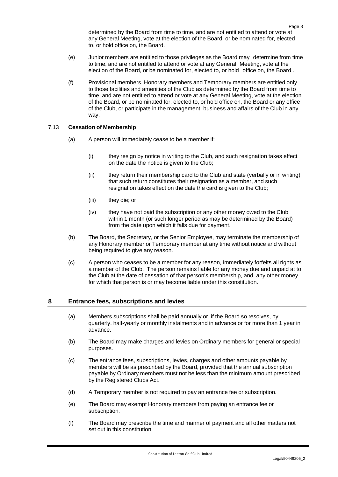determined by the Board from time to time, and are not entitled to attend or vote at any General Meeting, vote at the election of the Board, or be nominated for, elected to, or hold office on, the Board.

- (e) Junior members are entitled to those privileges as the Board may determine from time to time, and are not entitled to attend or vote at any General Meeting, vote at the election of the Board, or be nominated for, elected to, or hold office on, the Board .
- (f) Provisional members, Honorary members and Temporary members are entitled only to those facilities and amenities of the Club as determined by the Board from time to time, and are not entitled to attend or vote at any General Meeting, vote at the election of the Board, or be nominated for, elected to, or hold office on, the Board or any office of the Club, or participate in the management, business and affairs of the Club in any way.

## <span id="page-10-0"></span>7.13 **Cessation of Membership**

- (a) A person will immediately cease to be a member if:
	- (i) they resign by notice in writing to the Club, and such resignation takes effect on the date the notice is given to the Club;
	- (ii) they return their membership card to the Club and state (verbally or in writing) that such return constitutes their resignation as a member, and such resignation takes effect on the date the card is given to the Club;
	- (iii) they die; or
	- (iv) they have not paid the subscription or any other money owed to the Club within 1 month (or such longer period as may be determined by the Board) from the date upon which it falls due for payment.
- (b) The Board, the Secretary, or the Senior Employee, may terminate the membership of any Honorary member or Temporary member at any time without notice and without being required to give any reason.
- (c) A person who ceases to be a member for any reason, immediately forfeits all rights as a member of the Club. The person remains liable for any money due and unpaid at to the Club at the date of cessation of that person's membership, and, any other money for which that person is or may become liable under this constitution.

## <span id="page-10-1"></span>**8 Entrance fees, subscriptions and levies**

- (a) Members subscriptions shall be paid annually or, if the Board so resolves, by quarterly, half-yearly or monthly instalments and in advance or for more than 1 year in advance.
- (b) The Board may make charges and levies on Ordinary members for general or special purposes.
- (c) The entrance fees, subscriptions, levies, charges and other amounts payable by members will be as prescribed by the Board, provided that the annual subscription payable by Ordinary members must not be less than the minimum amount prescribed by the Registered Clubs Act.
- (d) A Temporary member is not required to pay an entrance fee or subscription.
- (e) The Board may exempt Honorary members from paying an entrance fee or subscription.
- (f) The Board may prescribe the time and manner of payment and all other matters not set out in this constitution.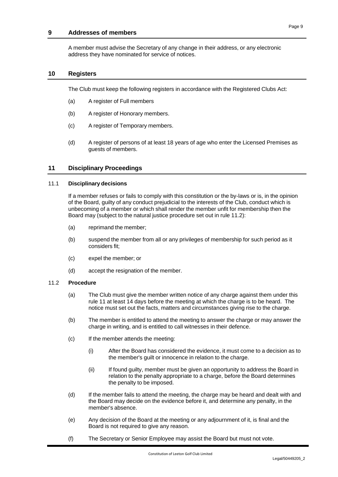## <span id="page-11-0"></span>**9 Addresses of members**

A member must advise the Secretary of any change in their address, or any electronic address they have nominated for service of notices.

#### <span id="page-11-1"></span>**10 Registers**

The Club must keep the following registers in accordance with the Registered Clubs Act:

- (a) A register of Full members
- (b) A register of Honorary members.
- (c) A register of Temporary members.
- (d) A register of persons of at least 18 years of age who enter the Licensed Premises as guests of members.

## <span id="page-11-2"></span>**11 Disciplinary Proceedings**

#### <span id="page-11-3"></span>11.1 **Disciplinary decisions**

If a member refuses or fails to comply with this constitution or the by-laws or is, in the opinion of the Board, guilty of any conduct prejudicial to the interests of the Club, conduct which is unbecoming of a member or which shall render the member unfit for membership then the Board may (subject to the natural justice procedure set out in rule 11.2):

- (a) reprimand the member;
- (b) suspend the member from all or any privileges of membership for such period as it considers fit;
- (c) expel the member; or
- (d) accept the resignation of the member.

#### <span id="page-11-5"></span><span id="page-11-4"></span>11.2 **Procedure**

- (a) The Club must give the member written notice of any charge against them under this rule [11](#page-11-2) at least 14 days before the meeting at which the charge is to be heard. The notice must set out the facts, matters and circumstances giving rise to the charge.
- (b) The member is entitled to attend the meeting to answer the charge or may answer the charge in writing, and is entitled to call witnesses in their defence.
- (c) If the member attends the meeting:
	- (i) After the Board has considered the evidence, it must come to a decision as to the member's guilt or innocence in relation to the charge.
	- (ii) If found guilty, member must be given an opportunity to address the Board in relation to the penalty appropriate to a charge, before the Board determines the penalty to be imposed.
- (d) If the member fails to attend the meeting, the charge may be heard and dealt with and the Board may decide on the evidence before it, and determine any penalty, in the member's absence.
- (e) Any decision of the Board at the meeting or any adjournment of it, is final and the Board is not required to give any reason.
- (f) The Secretary or Senior Employee may assist the Board but must not vote.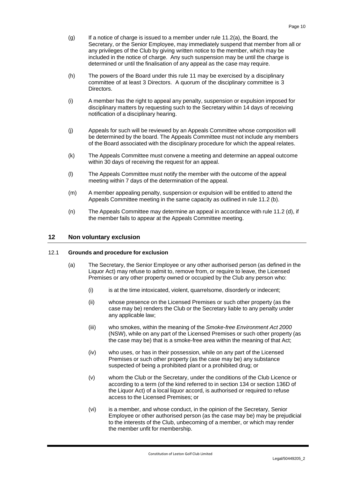- $(q)$  If a notice of charge is issued to a member under rule [11.2\(a\),](#page-11-5) the Board, the Secretary, or the Senior Employee, may immediately suspend that member from all or any privileges of the Club by giving written notice to the member, which may be included in the notice of charge. Any such suspension may be until the charge is determined or until the finalisation of any appeal as the case may require.
- (h) The powers of the Board under this rule [11](#page-11-2) may be exercised by a disciplinary committee of at least 3 Directors. A quorum of the disciplinary committee is 3 Directors.
- (i) A member has the right to appeal any penalty, suspension or expulsion imposed for disciplinary matters by requesting such to the Secretary within 14 days of receiving notification of a disciplinary hearing.
- (j) Appeals for such will be reviewed by an Appeals Committee whose composition will be determined by the board. The Appeals Committee must not include any members of the Board associated with the disciplinary procedure for which the appeal relates.
- (k) The Appeals Committee must convene a meeting and determine an appeal outcome within 30 days of receiving the request for an appeal.
- (l) The Appeals Committee must notify the member with the outcome of the appeal meeting within 7 days of the determination of the appeal.
- (m) A member appealing penalty, suspension or expulsion will be entitled to attend the Appeals Committee meeting in the same capacity as outlined in rule 11.2 (b).
- (n) The Appeals Committee may determine an appeal in accordance with rule 11.2 (d), if the member fails to appear at the Appeals Committee meeting.

## <span id="page-12-0"></span>**12 Non voluntary exclusion**

#### <span id="page-12-2"></span><span id="page-12-1"></span>12.1 **Grounds and procedure for exclusion**

- (a) The Secretary, the Senior Employee or any other authorised person (as defined in the Liquor Act) may refuse to admit to, remove from, or require to leave, the Licensed Premises or any other property owned or occupied by the Club any person who:
	- (i) is at the time intoxicated, violent, quarrelsome, disorderly or indecent;
	- (ii) whose presence on the Licensed Premises or such other property (as the case may be) renders the Club or the Secretary liable to any penalty under any applicable law;
	- (iii) who smokes, within the meaning of the *Smoke-free Environment Act 2000* (NSW), while on any part of the Licensed Premises or such other property (as the case may be) that is a smoke-free area within the meaning of that Act;
	- (iv) who uses, or has in their possession, while on any part of the Licensed Premises or such other property (as the case may be) any substance suspected of being a prohibited plant or a prohibited drug; or
	- (v) whom the Club or the Secretary, under the conditions of the Club Licence or according to a term (of the kind referred to in section 134 or section 136D of the Liquor Act) of a local liquor accord, is authorised or required to refuse access to the Licensed Premises; or
	- (vi) is a member, and whose conduct, in the opinion of the Secretary, Senior Employee or other authorised person (as the case may be) may be prejudicial to the interests of the Club, unbecoming of a member, or which may render the member unfit for membership.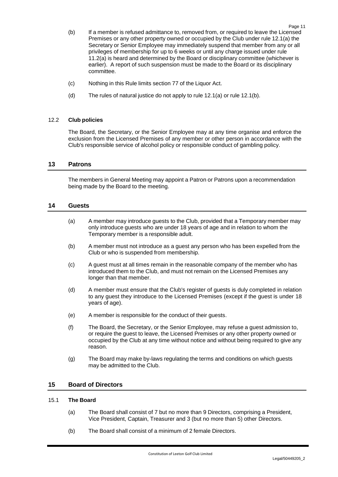- <span id="page-13-5"></span>(b) If a member is refused admittance to, removed from, or required to leave the Licensed Premises or any other property owned or occupied by the Club under rule [12.1\(a\)](#page-12-2) the Secretary or Senior Employee may immediately suspend that member from any or all privileges of membership for up to 6 weeks or until any charge issued under rule [11.2\(a\)](#page-11-5) is heard and determined by the Board or disciplinary committee (whichever is earlier). A report of such suspension must be made to the Board or its disciplinary committee.
- (c) Nothing in this Rule limits section 77 of the Liquor Act.
- (d) The rules of natural justice do not apply to rule [12.1\(a\)](#page-12-2) or rule [12.1\(b\).](#page-13-5)

## <span id="page-13-0"></span>12.2 **Club policies**

The Board, the Secretary, or the Senior Employee may at any time organise and enforce the exclusion from the Licensed Premises of any member or other person in accordance with the Club's responsible service of alcohol policy or responsible conduct of gambling policy.

## <span id="page-13-1"></span>**13 Patrons**

The members in General Meeting may appoint a Patron or Patrons upon a recommendation being made by the Board to the meeting.

## <span id="page-13-2"></span>**14 Guests**

- (a) A member may introduce guests to the Club, provided that a Temporary member may only introduce guests who are under 18 years of age and in relation to whom the Temporary member is a responsible adult.
- (b) A member must not introduce as a guest any person who has been expelled from the Club or who is suspended from membership.
- (c) A guest must at all times remain in the reasonable company of the member who has introduced them to the Club, and must not remain on the Licensed Premises any longer than that member.
- (d) A member must ensure that the Club's register of guests is duly completed in relation to any guest they introduce to the Licensed Premises (except if the guest is under 18 years of age).
- (e) A member is responsible for the conduct of their guests.
- (f) The Board, the Secretary, or the Senior Employee, may refuse a guest admission to, or require the guest to leave, the Licensed Premises or any other property owned or occupied by the Club at any time without notice and without being required to give any reason.
- (g) The Board may make by-laws regulating the terms and conditions on which guests may be admitted to the Club.

## <span id="page-13-3"></span>**15 Board of Directors**

## <span id="page-13-4"></span>15.1 **The Board**

- (a) The Board shall consist of 7 but no more than 9 Directors, comprising a President, Vice President, Captain, Treasurer and 3 (but no more than 5) other Directors.
- (b) The Board shall consist of a minimum of 2 female Directors.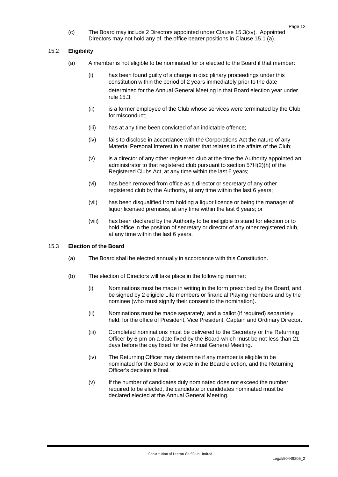(c) The Board may include 2 Directors appointed under Clause 15.3(xv). Appointed Directors may not hold any of the office bearer positions in Clause 15.1 (a).

## <span id="page-14-0"></span>15.2 **Eligibility**

- (a) A member is not eligible to be nominated for or elected to the Board if that member:
	- (i) has been found guilty of a charge in disciplinary proceedings under this constitution within the period of 2 years immediately prior to the date determined for the Annual General Meeting in that Board election year under rule [15.3;](#page-14-1)
	- (ii) is a former employee of the Club whose services were terminated by the Club for misconduct;
	- (iii) has at any time been convicted of an indictable offence;
	- (iv) fails to disclose in accordance with the Corporations Act the nature of any Material Personal Interest in a matter that relates to the affairs of the Club;
	- (v) is a director of any other registered club at the time the Authority appointed an administrator to that registered club pursuant to section 57H(2)(h) of the Registered Clubs Act, at any time within the last 6 years;
	- (vi) has been removed from office as a director or secretary of any other registered club by the Authority, at any time within the last 6 years;
	- (vii) has been disqualified from holding a liquor licence or being the manager of liquor licensed premises, at any time within the last 6 years; or
	- (viii) has been declared by the Authority to be ineligible to stand for election or to hold office in the position of secretary or director of any other registered club, at any time within the last 6 years.

## <span id="page-14-1"></span>15.3 **Election of the Board**

- (a) The Board shall be elected annually in accordance with this Constitution.
- (b) The election of Directors will take place in the following manner:
	- (i) Nominations must be made in writing in the form prescribed by the Board, and be signed by 2 eligible Life members or financial Playing members and by the nominee (who must signify their consent to the nomination).
	- (ii) Nominations must be made separately, and a ballot (if required) separately held, for the office of President, Vice President, Captain and Ordinary Director.
	- (iii) Completed nominations must be delivered to the Secretary or the Returning Officer by 6 pm on a date fixed by the Board which must be not less than 21 days before the day fixed for the Annual General Meeting.
	- (iv) The Returning Officer may determine if any member is eligible to be nominated for the Board or to vote in the Board election, and the Returning Officer's decision is final.
	- (v) If the number of candidates duly nominated does not exceed the number required to be elected, the candidate or candidates nominated must be declared elected at the Annual General Meeting.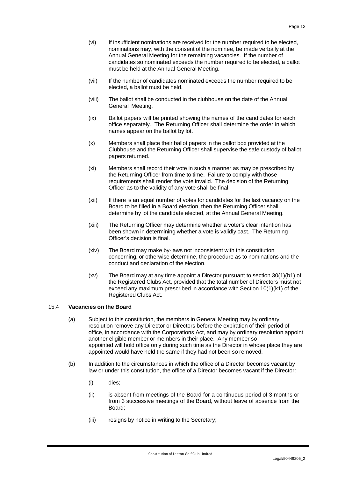- (vi) If insufficient nominations are received for the number required to be elected, nominations may, with the consent of the nominee, be made verbally at the Annual General Meeting for the remaining vacancies. If the number of candidates so nominated exceeds the number required to be elected, a ballot must be held at the Annual General Meeting.
- (vii) If the number of candidates nominated exceeds the number required to be elected, a ballot must be held.
- (viii) The ballot shall be conducted in the clubhouse on the date of the Annual General Meeting.
- (ix) Ballot papers will be printed showing the names of the candidates for each office separately. The Returning Officer shall determine the order in which names appear on the ballot by lot.
- (x) Members shall place their ballot papers in the ballot box provided at the Clubhouse and the Returning Officer shall supervise the safe custody of ballot papers returned.
- (xi) Members shall record their vote in such a manner as may be prescribed by the Returning Officer from time to time. Failure to comply with those requirements shall render the vote invalid. The decision of the Returning Officer as to the validity of any vote shall be final
- (xii) If there is an equal number of votes for candidates for the last vacancy on the Board to be filled in a Board election, then the Returning Officer shall determine by lot the candidate elected, at the Annual General Meeting.
- (xiii) The Returning Officer may determine whether a voter's clear intention has been shown in determining whether a vote is validly cast. The Returning Officer's decision is final.
- (xiv) The Board may make by-laws not inconsistent with this constitution concerning, or otherwise determine, the procedure as to nominations and the conduct and declaration of the election.
- (xv) The Board may at any time appoint a Director pursuant to section 30(1)(b1) of the Registered Clubs Act, provided that the total number of Directors must not exceed any maximum prescribed in accordance with Section 10(1)(k1) of the Registered Clubs Act.

## <span id="page-15-0"></span>15.4 **Vacancies on the Board**

- (a) Subject to this constitution, the members in General Meeting may by ordinary resolution remove any Director or Directors before the expiration of their period of office, in accordance with the Corporations Act, and may by ordinary resolution appoint another eligible member or members in their place. Any member so appointed will hold office only during such time as the Director in whose place they are appointed would have held the same if they had not been so removed.
- (b) In addition to the circumstances in which the office of a Director becomes vacant by law or under this constitution, the office of a Director becomes vacant if the Director:
	- (i) dies;
	- (ii) is absent from meetings of the Board for a continuous period of 3 months or from 3 successive meetings of the Board, without leave of absence from the Board;
	- (iii) resigns by notice in writing to the Secretary;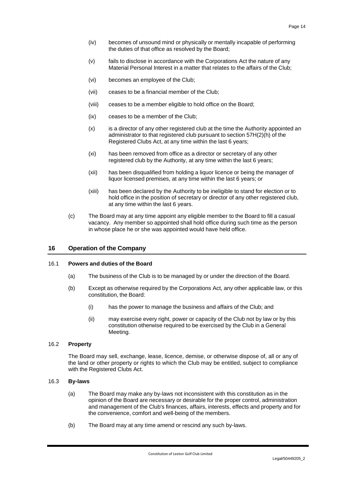- (iv) becomes of unsound mind or physically or mentally incapable of performing the duties of that office as resolved by the Board;
- (v) fails to disclose in accordance with the Corporations Act the nature of any Material Personal Interest in a matter that relates to the affairs of the Club;
- (vi) becomes an employee of the Club;
- (vii) ceases to be a financial member of the Club;
- (viii) ceases to be a member eligible to hold office on the Board;
- (ix) ceases to be a member of the Club;
- (x) is a director of any other registered club at the time the Authority appointed an administrator to that registered club pursuant to section 57H(2)(h) of the Registered Clubs Act, at any time within the last 6 years;
- (xi) has been removed from office as a director or secretary of any other registered club by the Authority, at any time within the last 6 years;
- (xii) has been disqualified from holding a liquor licence or being the manager of liquor licensed premises, at any time within the last 6 years; or
- (xiii) has been declared by the Authority to be ineligible to stand for election or to hold office in the position of secretary or director of any other registered club, at any time within the last 6 years.
- (c) The Board may at any time appoint any eligible member to the Board to fill a casual vacancy. Any member so appointed shall hold office during such time as the person in whose place he or she was appointed would have held office.

#### <span id="page-16-0"></span>**16 Operation of the Company**

#### <span id="page-16-1"></span>16.1 **Powers and duties of the Board**

- (a) The business of the Club is to be managed by or under the direction of the Board.
- (b) Except as otherwise required by the Corporations Act, any other applicable law, or this constitution, the Board:
	- (i) has the power to manage the business and affairs of the Club; and
	- (ii) may exercise every right, power or capacity of the Club not by law or by this constitution otherwise required to be exercised by the Club in a General Meeting.

#### <span id="page-16-2"></span>16.2 **Property**

The Board may sell, exchange, lease, licence, demise, or otherwise dispose of, all or any of the land or other property or rights to which the Club may be entitled, subject to compliance with the Registered Clubs Act.

#### <span id="page-16-3"></span>16.3 **By-laws**

- (a) The Board may make any by-laws not inconsistent with this constitution as in the opinion of the Board are necessary or desirable for the proper control, administration and management of the Club's finances, affairs, interests, effects and property and for the convenience, comfort and well-being of the members.
- (b) The Board may at any time amend or rescind any such by-laws.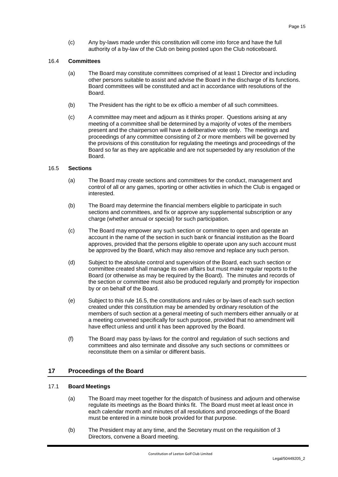(c) Any by-laws made under this constitution will come into force and have the full authority of a by-law of the Club on being posted upon the Club noticeboard.

## <span id="page-17-0"></span>16.4 **Committees**

- (a) The Board may constitute committees comprised of at least 1 Director and including other persons suitable to assist and advise the Board in the discharge of its functions. Board committees will be constituted and act in accordance with resolutions of the Board.
- (b) The President has the right to be ex officio a member of all such committees.
- (c) A committee may meet and adjourn as it thinks proper. Questions arising at any meeting of a committee shall be determined by a majority of votes of the members present and the chairperson will have a deliberative vote only. The meetings and proceedings of any committee consisting of 2 or more members will be governed by the provisions of this constitution for regulating the meetings and proceedings of the Board so far as they are applicable and are not superseded by any resolution of the Board.

#### <span id="page-17-1"></span>16.5 **Sections**

- (a) The Board may create sections and committees for the conduct, management and control of all or any games, sporting or other activities in which the Club is engaged or interested.
- (b) The Board may determine the financial members eligible to participate in such sections and committees, and fix or approve any supplemental subscription or any charge (whether annual or special) for such participation.
- (c) The Board may empower any such section or committee to open and operate an account in the name of the section in such bank or financial institution as the Board approves, provided that the persons eligible to operate upon any such account must be approved by the Board, which may also remove and replace any such person.
- (d) Subject to the absolute control and supervision of the Board, each such section or committee created shall manage its own affairs but must make regular reports to the Board (or otherwise as may be required by the Board). The minutes and records of the section or committee must also be produced regularly and promptly for inspection by or on behalf of the Board.
- (e) Subject to this rule [16.5,](#page-17-1) the constitutions and rules or by-laws of each such section created under this constitution may be amended by ordinary resolution of the members of such section at a general meeting of such members either annually or at a meeting convened specifically for such purpose, provided that no amendment will have effect unless and until it has been approved by the Board.
- (f) The Board may pass by-laws for the control and regulation of such sections and committees and also terminate and dissolve any such sections or committees or reconstitute them on a similar or different basis.

## <span id="page-17-2"></span>**17 Proceedings of the Board**

#### <span id="page-17-3"></span>17.1 **Board Meetings**

- (a) The Board may meet together for the dispatch of business and adjourn and otherwise regulate its meetings as the Board thinks fit. The Board must meet at least once in each calendar month and minutes of all resolutions and proceedings of the Board must be entered in a minute book provided for that purpose.
- (b) The President may at any time, and the Secretary must on the requisition of 3 Directors, convene a Board meeting.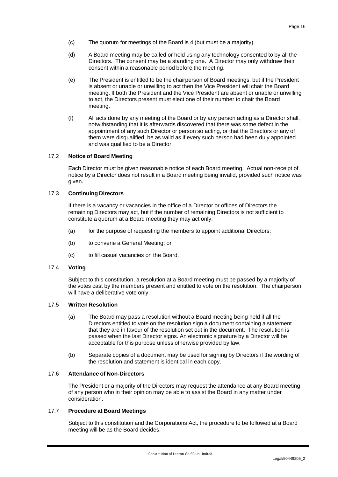- (c) The quorum for meetings of the Board is 4 (but must be a majority).
- (d) A Board meeting may be called or held using any technology consented to by all the Directors. The consent may be a standing one. A Director may only withdraw their consent within a reasonable period before the meeting.
- (e) The President is entitled to be the chairperson of Board meetings, but if the President is absent or unable or unwilling to act then the Vice President will chair the Board meeting. If both the President and the Vice President are absent or unable or unwilling to act, the Directors present must elect one of their number to chair the Board meeting.
- (f) All acts done by any meeting of the Board or by any person acting as a Director shall, notwithstanding that it is afterwards discovered that there was some defect in the appointment of any such Director or person so acting, or that the Directors or any of them were disqualified, be as valid as if every such person had been duly appointed and was qualified to be a Director.

## <span id="page-18-0"></span>17.2 **Notice of Board Meeting**

Each Director must be given reasonable notice of each Board meeting. Actual non-receipt of notice by a Director does not result in a Board meeting being invalid, provided such notice was given.

## <span id="page-18-1"></span>17.3 **Continuing Directors**

If there is a vacancy or vacancies in the office of a Director or offices of Directors the remaining Directors may act, but if the number of remaining Directors is not sufficient to constitute a quorum at a Board meeting they may act only:

- (a) for the purpose of requesting the members to appoint additional Directors;
- (b) to convene a General Meeting; or
- (c) to fill casual vacancies on the Board.

## <span id="page-18-2"></span>17.4 **Voting**

Subject to this constitution, a resolution at a Board meeting must be passed by a majority of the votes cast by the members present and entitled to vote on the resolution. The chairperson will have a deliberative vote only.

#### <span id="page-18-3"></span>17.5 **Written Resolution**

- (a) The Board may pass a resolution without a Board meeting being held if all the Directors entitled to vote on the resolution sign a document containing a statement that they are in favour of the resolution set out in the document. The resolution is passed when the last Director signs. An electronic signature by a Director will be acceptable for this purpose unless otherwise provided by law.
- (b) Separate copies of a document may be used for signing by Directors if the wording of the resolution and statement is identical in each copy.

#### <span id="page-18-4"></span>17.6 **Attendance of Non-Directors**

The President or a majority of the Directors may request the attendance at any Board meeting of any person who in their opinion may be able to assist the Board in any matter under consideration.

## <span id="page-18-5"></span>17.7 **Procedure at Board Meetings**

Subject to this constitution and the Corporations Act, the procedure to be followed at a Board meeting will be as the Board decides.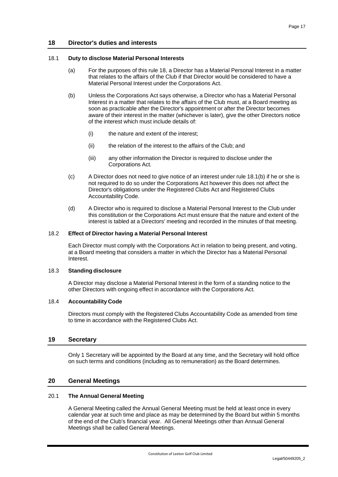## <span id="page-19-0"></span>**18 Director's duties and interests**

#### <span id="page-19-1"></span>18.1 **Duty to disclose Material Personal Interests**

- (a) For the purposes of this rule [18,](#page-19-0) a Director has a Material Personal Interest in a matter that relates to the affairs of the Club if that Director would be considered to have a Material Personal Interest under the Corporations Act.
- <span id="page-19-8"></span>(b) Unless the Corporations Act says otherwise, a Director who has a Material Personal Interest in a matter that relates to the affairs of the Club must, at a Board meeting as soon as practicable after the Director's appointment or after the Director becomes aware of their interest in the matter (whichever is later), give the other Directors notice of the interest which must include details of:
	- (i) the nature and extent of the interest;
	- (ii) the relation of the interest to the affairs of the Club; and
	- (iii) any other information the Director is required to disclose under the Corporations Act.
- (c) A Director does not need to give notice of an interest under rule [18.1\(b\)](#page-19-8) if he or she is not required to do so under the Corporations Act however this does not affect the Director's obligations under the Registered Clubs Act and Registered Clubs Accountability Code.
- (d) A Director who is required to disclose a Material Personal Interest to the Club under this constitution or the Corporations Act must ensure that the nature and extent of the interest is tabled at a Directors' meeting and recorded in the minutes of that meeting.

#### <span id="page-19-2"></span>18.2 **Effect of Director having a Material Personal Interest**

Each Director must comply with the Corporations Act in relation to being present, and voting, at a Board meeting that considers a matter in which the Director has a Material Personal Interest.

#### <span id="page-19-3"></span>18.3 **Standing disclosure**

A Director may disclose a Material Personal Interest in the form of a standing notice to the other Directors with ongoing effect in accordance with the Corporations Act.

#### <span id="page-19-4"></span>18.4 **Accountability Code**

Directors must comply with the Registered Clubs Accountability Code as amended from time to time in accordance with the Registered Clubs Act.

### <span id="page-19-5"></span>**19 Secretary**

Only 1 Secretary will be appointed by the Board at any time, and the Secretary will hold office on such terms and conditions (including as to remuneration) as the Board determines.

#### <span id="page-19-6"></span>**20 General Meetings**

#### <span id="page-19-7"></span>20.1 **The Annual General Meeting**

A General Meeting called the Annual General Meeting must be held at least once in every calendar year at such time and place as may be determined by the Board but within 5 months of the end of the Club's financial year. All General Meetings other than Annual General Meetings shall be called General Meetings.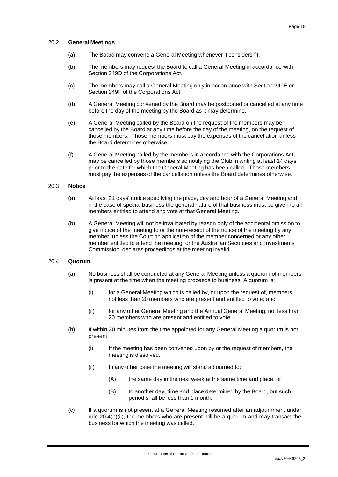#### <span id="page-20-0"></span>20.2 **General Meetings**

- (a) The Board may convene a General Meeting whenever it considers fit.
- (b) The members may request the Board to call a General Meeting in accordance with Section 249D of the Corporations Act.
- (c) The members may call a General Meeting only in accordance with Section 249E or Section 249F of the Corporations Act.
- (d) A General Meeting convened by the Board may be postponed or cancelled at any time before the day of the meeting by the Board as it may determine.
- (e) A General Meeting called by the Board on the request of the members may be cancelled by the Board at any time before the day of the meeting, on the request of those members. Those members must pay the expenses of the cancellation unless the Board determines otherwise.
- (f) A General Meeting called by the members in accordance with the Corporations Act, may be cancelled by those members so notifying the Club in writing at least 14 days prior to the date for which the General Meeting has been called. Those members must pay the expenses of the cancellation unless the Board determines otherwise.

## <span id="page-20-1"></span>20.3 **Notice**

- (a) At least 21 days' notice specifying the place, day and hour of a General Meeting and in the case of special business the general nature of that business must be given to all members entitled to attend and vote at that General Meeting.
- (b) A General Meeting will not be invalidated by reason only of the accidental omission to give notice of the meeting to or the non-receipt of the notice of the meeting by any member, unless the Court on application of the member concerned or any other member entitled to attend the meeting, or the Australian Securities and Investments Commission, declares proceedings at the meeting invalid.

## <span id="page-20-2"></span>20.4 **Quorum**

- (a) No business shall be conducted at any General Meeting unless a quorum of members is present at the time when the meeting proceeds to business. A quorum is:
	- (i) for a General Meeting which is called by, or upon the request of, members, not less than 20 members who are present and entitled to vote; and
	- (ii) for any other General Meeting and the Annual General Meeting, not less than 20 members who are present and entitled to vote.
- <span id="page-20-3"></span>(b) If within 30 minutes from the time appointed for any General Meeting a quorum is not present:
	- (i) If the meeting has been convened upon by or the request of members, the meeting is dissolved.
	- (ii) In any other case the meeting will stand adjourned to:
		- (A) the same day in the next week at the same time and place; or
		- (B) to another day, time and place determined by the Board, but such period shall be less than 1 month.
- (c) If a quorum is not present at a General Meeting resumed after an adjournment under rule [20.4\(b\)\(ii\),](#page-20-3) the members who are present will be a quorum and may transact the business for which the meeting was called.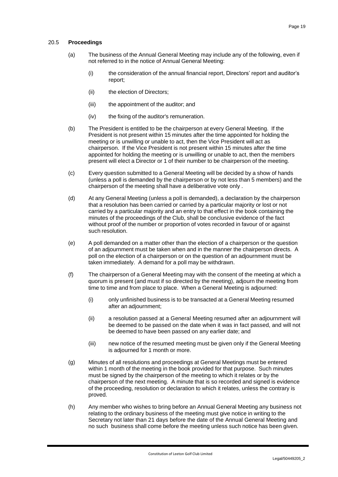## <span id="page-21-0"></span>20.5 **Proceedings**

- (a) The business of the Annual General Meeting may include any of the following, even if not referred to in the notice of Annual General Meeting:
	- (i) the consideration of the annual financial report, Directors' report and auditor's report;
	- (ii) the election of Directors:
	- (iii) the appointment of the auditor; and
	- (iv) the fixing of the auditor's remuneration.
- (b) The President is entitled to be the chairperson at every General Meeting. If the President is not present within 15 minutes after the time appointed for holding the meeting or is unwilling or unable to act, then the Vice President will act as chairperson. If the Vice President is not present within 15 minutes after the time appointed for holding the meeting or is unwilling or unable to act, then the members present will elect a Director or 1 of their number to be chairperson of the meeting.
- (c) Every question submitted to a General Meeting will be decided by a show of hands (unless a poll is demanded by the chairperson or by not less than 5 members) and the chairperson of the meeting shall have a deliberative vote only .
- (d) At any General Meeting (unless a poll is demanded), a declaration by the chairperson that a resolution has been carried or carried by a particular majority or lost or not carried by a particular majority and an entry to that effect in the book containing the minutes of the proceedings of the Club, shall be conclusive evidence of the fact without proof of the number or proportion of votes recorded in favour of or against such resolution.
- (e) A poll demanded on a matter other than the election of a chairperson or the question of an adjournment must be taken when and in the manner the chairperson directs. A poll on the election of a chairperson or on the question of an adjournment must be taken immediately. A demand for a poll may be withdrawn.
- (f) The chairperson of a General Meeting may with the consent of the meeting at which a quorum is present (and must if so directed by the meeting), adjourn the meeting from time to time and from place to place. When a General Meeting is adjourned:
	- (i) only unfinished business is to be transacted at a General Meeting resumed after an adjournment;
	- (ii) a resolution passed at a General Meeting resumed after an adjournment will be deemed to be passed on the date when it was in fact passed, and will not be deemed to have been passed on any earlier date; and
	- (iii) new notice of the resumed meeting must be given only if the General Meeting is adjourned for 1 month or more.
- (g) Minutes of all resolutions and proceedings at General Meetings must be entered within 1 month of the meeting in the book provided for that purpose. Such minutes must be signed by the chairperson of the meeting to which it relates or by the chairperson of the next meeting. A minute that is so recorded and signed is evidence of the proceeding, resolution or declaration to which it relates, unless the contrary is proved.
- (h) Any member who wishes to bring before an Annual General Meeting any business not relating to the ordinary business of the meeting must give notice in writing to the Secretary not later than 21 days before the date of the Annual General Meeting and no such business shall come before the meeting unless such notice has been given.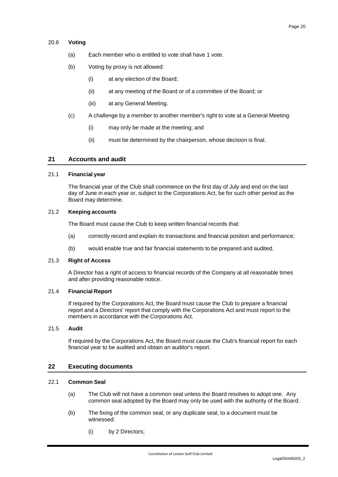## <span id="page-22-0"></span>20.6 **Voting**

- (a) Each member who is entitled to vote shall have 1 vote.
- (b) Voting by proxy is not allowed:
	- (i) at any election of the Board;
	- (ii) at any meeting of the Board or of a committee of the Board; or
	- (iii) at any General Meeting.
- (c) A challenge by a member to another member's right to vote at a General Meeting:
	- (i) may only be made at the meeting; and
	- (ii) must be determined by the chairperson, whose decision is final.

## <span id="page-22-1"></span>**21 Accounts and audit**

#### <span id="page-22-2"></span>21.1 **Financial year**

The financial year of the Club shall commence on the first day of July and end on the last day of June in each year or, subject to the Corporations Act, be for such other period as the Board may determine.

## <span id="page-22-3"></span>21.2 **Keeping accounts**

The Board must cause the Club to keep written financial records that:

- (a) correctly record and explain its transactions and financial position and performance;
- (b) would enable true and fair financial statements to be prepared and audited.

#### <span id="page-22-4"></span>21.3 **Right of Access**

A Director has a right of access to financial records of the Company at all reasonable times and after providing reasonable notice.

#### <span id="page-22-5"></span>21.4 **Financial Report**

If required by the Corporations Act, the Board must cause the Club to prepare a financial report and a Directors' report that comply with the Corporations Act and must report to the members in accordance with the Corporations Act.

#### <span id="page-22-6"></span>21.5 **Audit**

If required by the Corporations Act, the Board must cause the Club's financial report for each financial year to be audited and obtain an auditor's report.

## <span id="page-22-7"></span>**22 Executing documents**

#### <span id="page-22-8"></span>22.1 **Common Seal**

- (a) The Club will not have a common seal unless the Board resolves to adopt one. Any common seal adopted by the Board may only be used with the authority of the Board.
- (b) The fixing of the common seal, or any duplicate seal, to a document must be witnessed:
	- (i) by 2 Directors;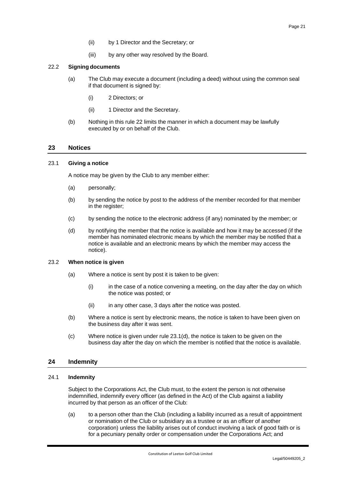- (ii) by 1 Director and the Secretary; or
- (iii) by any other way resolved by the Board.

## <span id="page-23-0"></span>22.2 **Signing documents**

- (a) The Club may execute a document (including a deed) without using the common seal if that document is signed by:
	- (i) 2 Directors; or
	- (ii) 1 Director and the Secretary.
- (b) Nothing in this rule [22](#page-22-7) limits the manner in which a document may be lawfully executed by or on behalf of the Club.

## <span id="page-23-1"></span>**23 Notices**

## <span id="page-23-2"></span>23.1 **Giving a notice**

A notice may be given by the Club to any member either:

- (a) personally;
- (b) by sending the notice by post to the address of the member recorded for that member in the register;
- (c) by sending the notice to the electronic address (if any) nominated by the member; or
- <span id="page-23-6"></span>(d) by notifying the member that the notice is available and how it may be accessed (if the member has nominated electronic means by which the member may be notified that a notice is available and an electronic means by which the member may access the notice).

#### <span id="page-23-3"></span>23.2 **When notice is given**

- (a) Where a notice is sent by post it is taken to be given:
	- (i) in the case of a notice convening a meeting, on the day after the day on which the notice was posted; or
	- (ii) in any other case, 3 days after the notice was posted.
- (b) Where a notice is sent by electronic means, the notice is taken to have been given on the business day after it was sent.
- (c) Where notice is given under rule [23.1\(d\),](#page-23-6) the notice is taken to be given on the business day after the day on which the member is notified that the notice is available.

## <span id="page-23-4"></span>**24 Indemnity**

## <span id="page-23-5"></span>24.1 **Indemnity**

Subject to the Corporations Act, the Club must, to the extent the person is not otherwise indemnified, indemnify every officer (as defined in the Act) of the Club against a liability incurred by that person as an officer of the Club:

(a) to a person other than the Club (including a liability incurred as a result of appointment or nomination of the Club or subsidiary as a trustee or as an officer of another corporation) unless the liability arises out of conduct involving a lack of good faith or is for a pecuniary penalty order or compensation under the Corporations Act; and